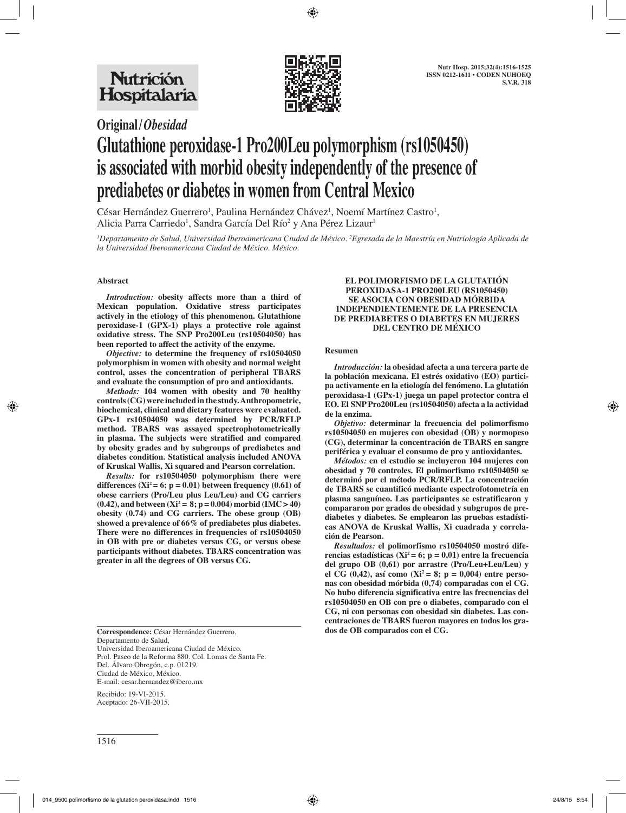

# **Original/***Obesidad* **Glutathione peroxidase-1 Pro200Leu polymorphism (rs1050450) is associated with morbid obesity independently of the presence of prediabetes or diabetes in women from Central Mexico**

César Hernández Guerrero<sup>1</sup>, Paulina Hernández Chávez<sup>1</sup>, Noemí Martínez Castro<sup>1</sup>, Alicia Parra Carriedo<sup>1</sup>, Sandra García Del Río<sup>2</sup> y Ana Pérez Lizaur<sup>1</sup>

*1 Departamento de Salud, Universidad Iberoamericana Ciudad de México. 2 Egresada de la Maestría en Nutriología Aplicada de la Universidad Iberoamericana Ciudad de México. México.*

## **Abstract**

*Introduction:* **obesity affects more than a third of Mexican population. Oxidative stress participates actively in the etiology of this phenomenon. Glutathione peroxidase-1 (GPX-1) plays a protective role against oxidative stress. The SNP Pro200Leu (rs10504050) has been reported to affect the activity of the enzyme.**

*Objective:* **to determine the frequency of rs10504050 polymorphism in women with obesity and normal weight control, asses the concentration of peripheral TBARS and evaluate the consumption of pro and antioxidants.**

*Methods:* **104 women with obesity and 70 healthy controls (CG) were included in the study. Anthropometric, biochemical, clinical and dietary features were evaluated. GPx-1 rs10504050 was determined by PCR/RFLP method. TBARS was assayed spectrophotometrically in plasma. The subjects were stratified and compared by obesity grades and by subgroups of prediabetes and diabetes condition. Statistical analysis included ANOVA of Kruskal Wallis, Xi squared and Pearson correlation.** 

*Results:* **for rs10504050 polymorphism there were**  differences  $(Xi^2 = 6; p = 0.01)$  between frequency  $(0.61)$  of **obese carriers (Pro/Leu plus Leu/Leu) and CG carriers**   $(0.42)$ , and between  $(Xi^2 = 8; p = 0.004)$  morbid  $(IMC > 40)$ **obesity (0.74) and CG carriers. The obese group (OB) showed a prevalence of 66% of prediabetes plus diabetes. There were no differences in frequencies of rs10504050 in OB with pre or diabetes versus CG, or versus obese participants without diabetes. TBARS concentration was greater in all the degrees of OB versus CG.** 

Departamento de Salud, Universidad Iberoamericana Ciudad de México. Prol. Paseo de la Reforma 880. Col. Lomas de Santa Fe. Del. Álvaro Obregón, c.p. 01219. Ciudad de México, México. E-mail: cesar.hernandez@ibero.mx

Recibido: 19-VI-2015. Aceptado: 26-VII-2015.

#### **EL POLIMORFISMO DE LA GLUTATIÓN PEROXIDASA-1 PRO200LEU (RS1050450) SE ASOCIA CON OBESIDAD MÓRBIDA INDEPENDIENTEMENTE DE LA PRESENCIA DE PREDIABETES O DIABETES EN MUJERES DEL CENTRO DE MÉXICO**

#### **Resumen**

*Introducción:* **la obesidad afecta a una tercera parte de la población mexicana. El estrés oxidativo (EO) participa activamente en la etiología del fenómeno. La glutatión peroxidasa-1 (GPx-1) juega un papel protector contra el EO. El SNP Pro200Leu (rs10504050) afecta a la actividad de la enzima.** 

*Objetivo:* **determinar la frecuencia del polimorfismo rs10504050 en mujeres con obesidad (OB) y normopeso (CG), determinar la concentración de TBARS en sangre periférica y evaluar el consumo de pro y antioxidantes.** 

*Métodos:* **en el estudio se incluyeron 104 mujeres con obesidad y 70 controles. El polimorfismo rs10504050 se determinó por el método PCR/RFLP. La concentración de TBARS se cuantificó mediante espectrofotometría en plasma sanguíneo. Las participantes se estratificaron y compararon por grados de obesidad y subgrupos de prediabetes y diabetes. Se emplearon las pruebas estadísticas ANOVA de Kruskal Wallis, Xi cuadrada y correlación de Pearson.**

*Resultados:* **el polimorfismo rs10504050 mostró dife**rencias estadísticas ( $Xi^2 = 6$ ;  $p = 0.01$ ) entre la frecuencia **del grupo OB (0,61) por arrastre (Pro/Leu+Leu/Leu) y el CG (0,42), así como (Xi2 = 8; p = 0,004) entre personas con obesidad mórbida (0,74) comparadas con el CG. No hubo diferencia significativa entre las frecuencias del rs10504050 en OB con pre o diabetes, comparado con el CG, ni con personas con obesidad sin diabetes. Las concentraciones de TBARS fueron mayores en todos los gra-Correspondence:** César Hernández Guerrero. **dos de OB comparados con el CG.**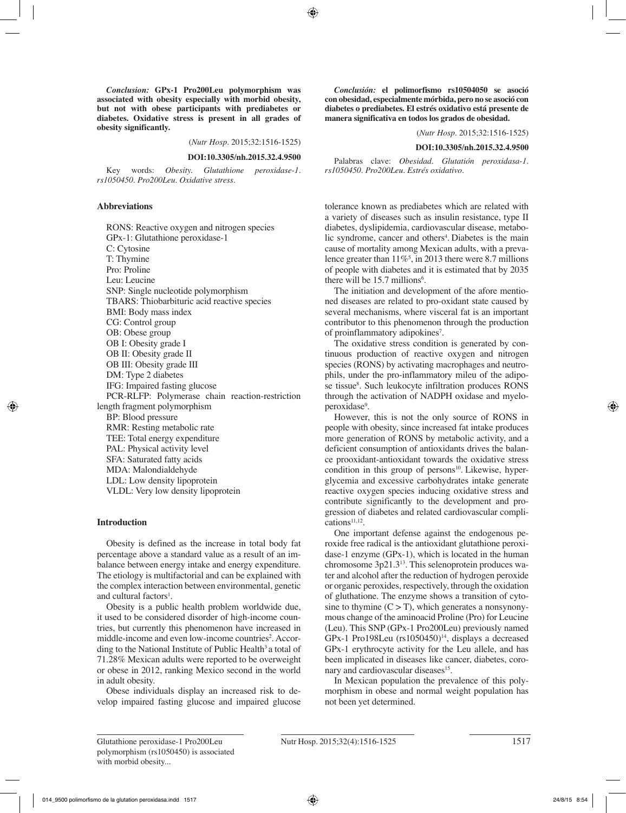*Conclusion:* **GPx-1 Pro200Leu polymorphism was associated with obesity especially with morbid obesity, but not with obese participants with prediabetes or diabetes. Oxidative stress is present in all grades of obesity significantly.**

(*Nutr Hosp.* 2015;32:1516-1525)

#### **DOI:10.3305/nh.2015.32.4.9500**

Key words: *Obesity. Glutathione peroxidase-1. rs1050450. Pro200Leu. Oxidative stress.*

#### **Abbreviations**

RONS: Reactive oxygen and nitrogen species GPx-1: Glutathione peroxidase-1 C: Cytosine T: Thymine Pro: Proline Leu: Leucine SNP: Single nucleotide polymorphism TBARS: Thiobarbituric acid reactive species BMI: Body mass index CG: Control group OB: Obese group OB I: Obesity grade I OB II: Obesity grade II OB III: Obesity grade III DM: Type 2 diabetes IFG: Impaired fasting glucose PCR-RLFP: Polymerase chain reaction-restriction length fragment polymorphism BP: Blood pressure RMR: Resting metabolic rate TEE: Total energy expenditure PAL: Physical activity level SFA: Saturated fatty acids MDA: Malondialdehyde LDL: Low density lipoprotein VLDL: Very low density lipoprotein

#### **Introduction**

Obesity is defined as the increase in total body fat percentage above a standard value as a result of an imbalance between energy intake and energy expenditure. The etiology is multifactorial and can be explained with the complex interaction between environmental, genetic and cultural factors<sup>1</sup>.

Obesity is a public health problem worldwide due, it used to be considered disorder of high-income countries, but currently this phenomenon have increased in middle-income and even low-income countries<sup>2</sup>. According to the National Institute of Public Health<sup>3</sup> a total of 71.28% Mexican adults were reported to be overweight or obese in 2012, ranking Mexico second in the world in adult obesity.

Obese individuals display an increased risk to develop impaired fasting glucose and impaired glucose

*Conclusión:* **el polimorfismo rs10504050 se asoció con obesidad, especialmente mórbida, pero no se asoció con diabetes o prediabetes. El estrés oxidativo está presente de manera significativa en todos los grados de obesidad.** 

(*Nutr Hosp.* 2015;32:1516-1525)

#### **DOI:10.3305/nh.2015.32.4.9500**

Palabras clave: *Obesidad. Glutatión peroxidasa-1. rs1050450. Pro200Leu. Estrés oxidativo.*

tolerance known as prediabetes which are related with a variety of diseases such as insulin resistance, type II diabetes, dyslipidemia, cardiovascular disease, metabolic syndrome, cancer and others<sup>4</sup>. Diabetes is the main cause of mortality among Mexican adults, with a prevalence greater than  $11\%^5$ , in 2013 there were 8.7 millions of people with diabetes and it is estimated that by 2035 there will be  $15.7$  millions<sup>6</sup>.

The initiation and development of the afore mentioned diseases are related to pro-oxidant state caused by several mechanisms, where visceral fat is an important contributor to this phenomenon through the production of proinflammatory adipokines<sup>7</sup>.

The oxidative stress condition is generated by continuous production of reactive oxygen and nitrogen species (RONS) by activating macrophages and neutrophils, under the pro-inflammatory mileu of the adipose tissue<sup>8</sup>. Such leukocyte infiltration produces RONS through the activation of NADPH oxidase and myeloperoxidase<sup>9</sup>.

However, this is not the only source of RONS in people with obesity, since increased fat intake produces more generation of RONS by metabolic activity, and a deficient consumption of antioxidants drives the balance prooxidant-antioxidant towards the oxidative stress condition in this group of persons $10$ . Likewise, hyperglycemia and excessive carbohydrates intake generate reactive oxygen species inducing oxidative stress and contribute significantly to the development and progression of diabetes and related cardiovascular complications<sup>11,12</sup>.

One important defense against the endogenous peroxide free radical is the antioxidant glutathione peroxidase-1 enzyme (GPx-1), which is located in the human chromosome 3p21.313. This selenoprotein produces water and alcohol after the reduction of hydrogen peroxide or organic peroxides, respectively, through the oxidation of gluthatione. The enzyme shows a transition of cytosine to thymine  $(C > T)$ , which generates a nonsynonymous change of the aminoacid Proline (Pro) for Leucine (Leu). This SNP (GPx-1 Pro200Leu) previously named GPx-1 Pro198Leu  $(rs1050450)^{14}$ , displays a decreased GPx-1 erythrocyte activity for the Leu allele, and has been implicated in diseases like cancer, diabetes, coronary and cardiovascular diseases<sup>15</sup>.

In Mexican population the prevalence of this polymorphism in obese and normal weight population has not been yet determined.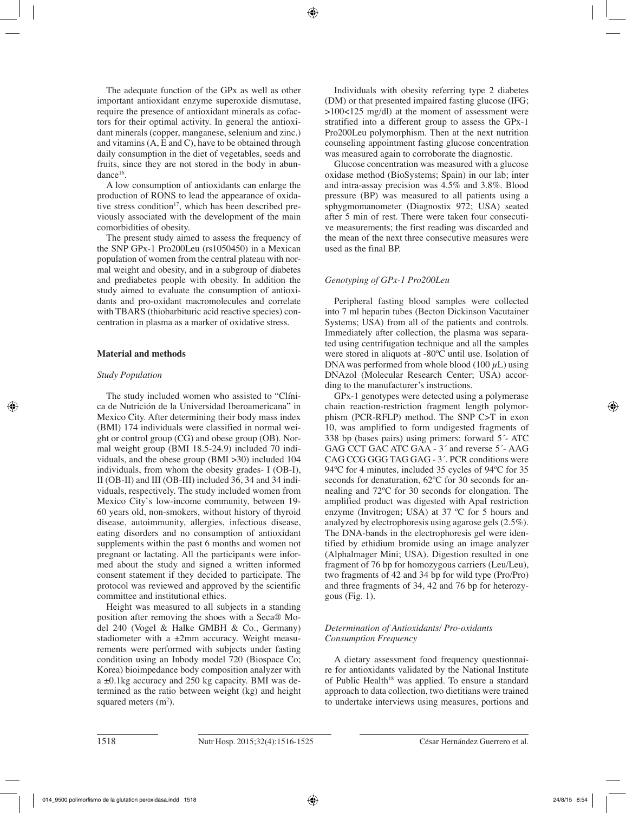The adequate function of the GPx as well as other important antioxidant enzyme superoxide dismutase, require the presence of antioxidant minerals as cofactors for their optimal activity. In general the antioxidant minerals (copper, manganese, selenium and zinc.) and vitamins (A, E and C), have to be obtained through daily consumption in the diet of vegetables, seeds and fruits, since they are not stored in the body in abundance<sup>16</sup>.

A low consumption of antioxidants can enlarge the production of RONS to lead the appearance of oxidative stress condition<sup>17</sup>, which has been described previously associated with the development of the main comorbidities of obesity.

The present study aimed to assess the frequency of the SNP GPx-1 Pro200Leu (rs1050450) in a Mexican population of women from the central plateau with normal weight and obesity, and in a subgroup of diabetes and prediabetes people with obesity. In addition the study aimed to evaluate the consumption of antioxidants and pro-oxidant macromolecules and correlate with TBARS (thiobarbituric acid reactive species) concentration in plasma as a marker of oxidative stress.

## **Material and methods**

## *Study Population*

The study included women who assisted to "Clínica de Nutrición de la Universidad Iberoamericana" in Mexico City. After determining their body mass index (BMI) 174 individuals were classified in normal weight or control group (CG) and obese group (OB). Normal weight group (BMI 18.5-24.9) included 70 individuals, and the obese group (BMI >30) included 104 individuals, from whom the obesity grades- I (OB-I), II (OB-II) and III (OB-III) included 36, 34 and 34 individuals, respectively. The study included women from Mexico City`s low-income community, between 19- 60 years old, non-smokers, without history of thyroid disease, autoimmunity, allergies, infectious disease, eating disorders and no consumption of antioxidant supplements within the past 6 months and women not pregnant or lactating. All the participants were informed about the study and signed a written informed consent statement if they decided to participate. The protocol was reviewed and approved by the scientific committee and institutional ethics.

Height was measured to all subjects in a standing position after removing the shoes with a Seca® Model 240 (Vogel & Halke GMBH & Co., Germany) stadiometer with a  $\pm 2$ mm accuracy. Weight measurements were performed with subjects under fasting condition using an Inbody model 720 (Biospace Co; Korea) bioimpedance body composition analyzer with a ±0.1kg accuracy and 250 kg capacity. BMI was determined as the ratio between weight (kg) and height squared meters  $(m<sup>2</sup>)$ .

Individuals with obesity referring type 2 diabetes (DM) or that presented impaired fasting glucose (IFG; >100<125 mg/dl) at the moment of assessment were stratified into a different group to assess the GPx-1 Pro200Leu polymorphism. Then at the next nutrition counseling appointment fasting glucose concentration was measured again to corroborate the diagnostic.

Glucose concentration was measured with a glucose oxidase method (BioSystems; Spain) in our lab; inter and intra-assay precision was 4.5% and 3.8%. Blood pressure (BP) was measured to all patients using a sphygmomanometer (Diagnostix 972; USA) seated after 5 min of rest. There were taken four consecutive measurements; the first reading was discarded and the mean of the next three consecutive measures were used as the final BP.

# *Genotyping of GPx-1 Pro200Leu*

Peripheral fasting blood samples were collected into 7 ml heparin tubes (Becton Dickinson Vacutainer Systems; USA) from all of the patients and controls. Immediately after collection, the plasma was separated using centrifugation technique and all the samples were stored in aliquots at -80ºC until use. Isolation of DNA was performed from whole blood (100  $\mu$ L) using DNAzol (Molecular Research Center; USA) according to the manufacturer's instructions.

GPx-1 genotypes were detected using a polymerase chain reaction-restriction fragment length polymorphism (PCR-RFLP) method. The SNP C>T in exon 10, was amplified to form undigested fragments of 338 bp (bases pairs) using primers: forward 5´- ATC GAG CCT GAC ATC GAA - 3´ and reverse 5´- AAG CAG CCG GGG TAG GAG - 3´. PCR conditions were 94ºC for 4 minutes, included 35 cycles of 94ºC for 35 seconds for denaturation,  $62^{\circ}$ C for 30 seconds for annealing and 72ºC for 30 seconds for elongation. The amplified product was digested with ApaI restriction enzyme (Invitrogen; USA) at 37 ºC for 5 hours and analyzed by electrophoresis using agarose gels (2.5%). The DNA-bands in the electrophoresis gel were identified by ethidium bromide using an image analyzer (Alphalmager Mini; USA). Digestion resulted in one fragment of 76 bp for homozygous carriers (Leu/Leu), two fragments of 42 and 34 bp for wild type (Pro/Pro) and three fragments of 34, 42 and 76 bp for heterozygous  $(Fig. 1)$ .

# *Determination of Antioxidants/ Pro-oxidants Consumption Frequency*

A dietary assessment food frequency questionnaire for antioxidants validated by the National Institute of Public Health<sup>18</sup> was applied. To ensure a standard approach to data collection, two dietitians were trained to undertake interviews using measures, portions and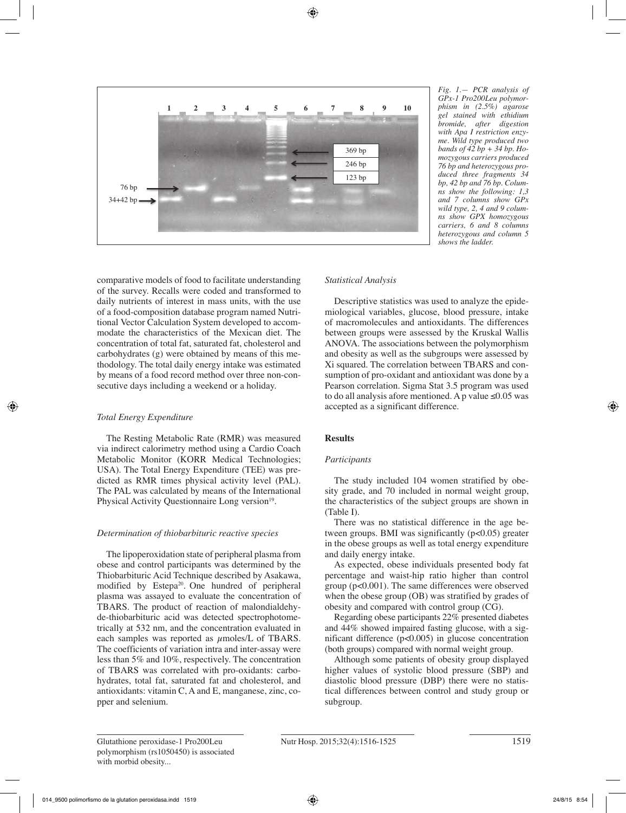

*Fig. 1.— PCR analysis of GPx-1 Pro200Leu polymorphism in (2.5%) agarose gel stained with ethidium bromide, after digestion with Apa I restriction enzyme. Wild type produced two bands of 42 bp + 34 bp. Homozygous carriers produced 76 bp and heterozygous produced three fragments 34 bp, 42 bp and 76 bp. Columns show the following: 1,3 and 7 columns show GPx wild type, 2, 4 and 9 columns show GPX homozygous carriers, 6 and 8 columns heterozygous and column 5 shows the ladder.*

comparative models of food to facilitate understanding of the survey. Recalls were coded and transformed to daily nutrients of interest in mass units, with the use of a food-composition database program named Nutritional Vector Calculation System developed to accommodate the characteristics of the Mexican diet. The concentration of total fat, saturated fat, cholesterol and carbohydrates (g) were obtained by means of this methodology. The total daily energy intake was estimated by means of a food record method over three non-consecutive days including a weekend or a holiday.

# *Total Energy Expenditure*

The Resting Metabolic Rate (RMR) was measured via indirect calorimetry method using a Cardio Coach Metabolic Monitor (KORR Medical Technologies; USA). The Total Energy Expenditure (TEE) was predicted as RMR times physical activity level (PAL). The PAL was calculated by means of the International Physical Activity Questionnaire Long version<sup>19</sup>.

# *Determination of thiobarbituric reactive species*

The lipoperoxidation state of peripheral plasma from obese and control participants was determined by the Thiobarbituric Acid Technique described by Asakawa, modified by Estepa<sup>20</sup>. One hundred of peripheral plasma was assayed to evaluate the concentration of TBARS. The product of reaction of malondialdehyde-thiobarbituric acid was detected spectrophotometrically at 532 nm, and the concentration evaluated in each samples was reported as  $\mu$ moles/L of TBARS. The coefficients of variation intra and inter-assay were less than 5% and 10%, respectively. The concentration of TBARS was correlated with pro-oxidants: carbohydrates, total fat, saturated fat and cholesterol, and antioxidants: vitamin C, A and E, manganese, zinc, copper and selenium.

## *Statistical Analysis*

Descriptive statistics was used to analyze the epidemiological variables, glucose, blood pressure, intake of macromolecules and antioxidants. The differences between groups were assessed by the Kruskal Wallis ANOVA. The associations between the polymorphism and obesity as well as the subgroups were assessed by Xi squared. The correlation between TBARS and consumption of pro-oxidant and antioxidant was done by a Pearson correlation. Sigma Stat 3.5 program was used to do all analysis afore mentioned. A p value  $\leq 0.05$  was accepted as a significant difference.

# **Results**

## *Participants*

The study included 104 women stratified by obesity grade, and 70 included in normal weight group, the characteristics of the subject groups are shown in (Table I).

There was no statistical difference in the age between groups. BMI was significantly (p<0.05) greater in the obese groups as well as total energy expenditure and daily energy intake.

As expected, obese individuals presented body fat percentage and waist-hip ratio higher than control group (p<0.001). The same differences were observed when the obese group (OB) was stratified by grades of obesity and compared with control group (CG).

Regarding obese participants 22% presented diabetes and 44% showed impaired fasting glucose, with a significant difference (p<0.005) in glucose concentration (both groups) compared with normal weight group.

Although some patients of obesity group displayed higher values of systolic blood pressure (SBP) and diastolic blood pressure (DBP) there were no statistical differences between control and study group or subgroup.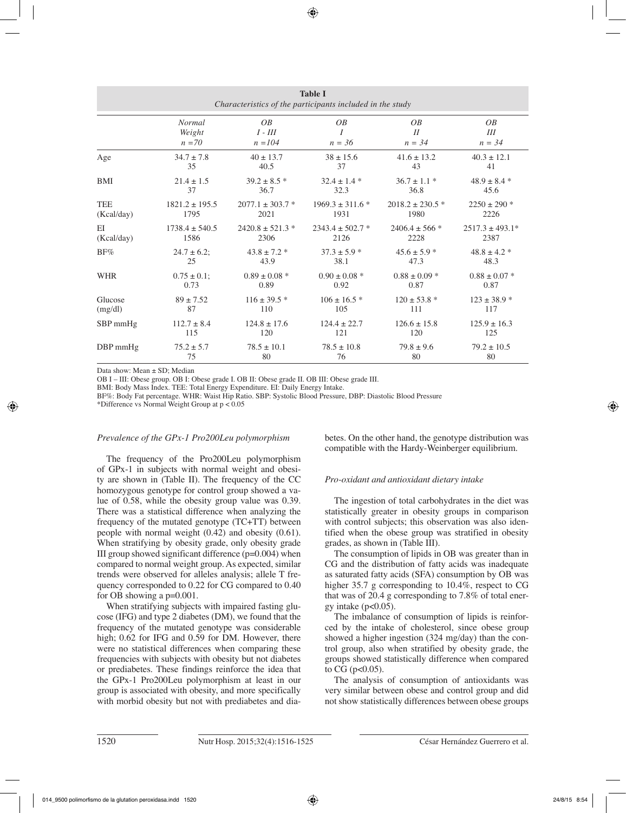| <b>Table I</b><br>Characteristics of the participants included in the study |                    |                      |                      |                      |                      |  |  |
|-----------------------------------------------------------------------------|--------------------|----------------------|----------------------|----------------------|----------------------|--|--|
|                                                                             | <b>Normal</b>      | OB                   | OB                   | $\overline{OB}$      | $\overline{OB}$      |  |  |
|                                                                             | Weight             | $I$ - $III$          | I                    | I                    | Ш                    |  |  |
|                                                                             | $n = 70$           | $n = 104$            | $n = 36$             | $n = 34$             | $n = 34$             |  |  |
| Age                                                                         | $34.7 \pm 7.8$     | $40 \pm 13.7$        | $38 \pm 15.6$        | $41.6 \pm 13.2$      | $40.3 \pm 12.1$      |  |  |
|                                                                             | 35                 | 40.5                 | 37                   | 43                   | 41                   |  |  |
| BMI                                                                         | $21.4 \pm 1.5$     | $39.2 \pm 8.5$ *     | $32.4 \pm 1.4$ *     | $36.7 \pm 1.1$ *     | $48.9 \pm 8.4$ *     |  |  |
|                                                                             | 37                 | 36.7                 | 32.3                 | 36.8                 | 45.6                 |  |  |
| <b>TEE</b>                                                                  | $1821.2 \pm 195.5$ | $2077.1 \pm 303.7$ * | $1969.3 \pm 311.6$ * | $2018.2 \pm 230.5$ * | $2250 \pm 290$ *     |  |  |
| (Kcal/day)                                                                  | 1795               | 2021                 | 1931                 | 1980                 | 2226                 |  |  |
| EI                                                                          | $1738.4 \pm 540.5$ | $2420.8 \pm 521.3$ * | $2343.4 \pm 502.7$ * | $2406.4 \pm 566$ *   | $2517.3 \pm 493.1^*$ |  |  |
| (Kcal/day)                                                                  | 1586               | 2306                 | 2126                 | 2228                 | 2387                 |  |  |
| BF%                                                                         | $24.7 \pm 6.2$ ;   | $43.8 \pm 7.2$ *     | $37.3 \pm 5.9$ *     | $45.6 \pm 5.9$ *     | $48.8 \pm 4.2$ *     |  |  |
|                                                                             | 25                 | 43.9                 | 38.1                 | 47.3                 | 48.3                 |  |  |
| <b>WHR</b>                                                                  | $0.75 \pm 0.1$ ;   | $0.89 \pm 0.08$ *    | $0.90 \pm 0.08$ *    | $0.88 \pm 0.09$ *    | $0.88 \pm 0.07$ *    |  |  |
|                                                                             | 0.73               | 0.89                 | 0.92                 | 0.87                 | 0.87                 |  |  |
| Glucose                                                                     | $89 \pm 7.52$      | $116 \pm 39.5$ *     | $106 \pm 16.5$ *     | $120 \pm 53.8$ *     | $123 \pm 38.9$ *     |  |  |
| (mg/dl)                                                                     | 87                 | 110                  | 105                  | 111                  | 117                  |  |  |
| $SBP$ mmHg                                                                  | $112.7 \pm 8.4$    | $124.8 \pm 17.6$     | $124.4 \pm 22.7$     | $126.6 \pm 15.8$     | $125.9 \pm 16.3$     |  |  |
|                                                                             | 115                | 120                  | 121                  | 120                  | 125                  |  |  |
| DBP mmHg                                                                    | $75.2 \pm 5.7$     | $78.5 \pm 10.1$      | $78.5 \pm 10.8$      | $79.8 \pm 9.6$       | $79.2 \pm 10.5$      |  |  |
|                                                                             | 75                 | 80                   | 76                   | 80                   | 80                   |  |  |

Data show: Mean ± SD; Median

OB I – III: Obese group. OB I: Obese grade I. OB II: Obese grade II. OB III: Obese grade III.

BMI: Body Mass Index. TEE: Total Energy Expenditure. EI: Daily Energy Intake.

BF%: Body Fat percentage. WHR: Waist Hip Ratio. SBP: Systolic Blood Pressure, DBP: Diastolic Blood Pressure

\*Difference vs Normal Weight Group at p < 0.05

## *Prevalence of the GPx-1 Pro200Leu polymorphism*

The frequency of the Pro200Leu polymorphism of GPx-1 in subjects with normal weight and obesity are shown in (Table II). The frequency of the CC homozygous genotype for control group showed a value of 0.58, while the obesity group value was 0.39. There was a statistical difference when analyzing the frequency of the mutated genotype (TC+TT) between people with normal weight (0.42) and obesity (0.61). When stratifying by obesity grade, only obesity grade III group showed significant difference (p=0.004) when compared to normal weight group. As expected, similar trends were observed for alleles analysis; allele T frequency corresponded to 0.22 for CG compared to 0.40 for OB showing a p=0.001.

When stratifying subjects with impaired fasting glucose (IFG) and type 2 diabetes (DM), we found that the frequency of the mutated genotype was considerable high; 0.62 for IFG and 0.59 for DM. However, there were no statistical differences when comparing these frequencies with subjects with obesity but not diabetes or prediabetes. These findings reinforce the idea that the GPx-1 Pro200Leu polymorphism at least in our group is associated with obesity, and more specifically with morbid obesity but not with prediabetes and diabetes. On the other hand, the genotype distribution was compatible with the Hardy-Weinberger equilibrium.

## *Pro-oxidant and antioxidant dietary intake*

The ingestion of total carbohydrates in the diet was statistically greater in obesity groups in comparison with control subjects; this observation was also identified when the obese group was stratified in obesity grades, as shown in (Table III).

The consumption of lipids in OB was greater than in CG and the distribution of fatty acids was inadequate as saturated fatty acids (SFA) consumption by OB was higher 35.7 g corresponding to 10.4%, respect to CG that was of 20.4 g corresponding to 7.8% of total energy intake ( $p<0.05$ ).

The imbalance of consumption of lipids is reinforced by the intake of cholesterol, since obese group showed a higher ingestion (324 mg/day) than the control group, also when stratified by obesity grade, the groups showed statistically difference when compared to  $CG$  ( $p<0.05$ ).

The analysis of consumption of antioxidants was very similar between obese and control group and did not show statistically differences between obese groups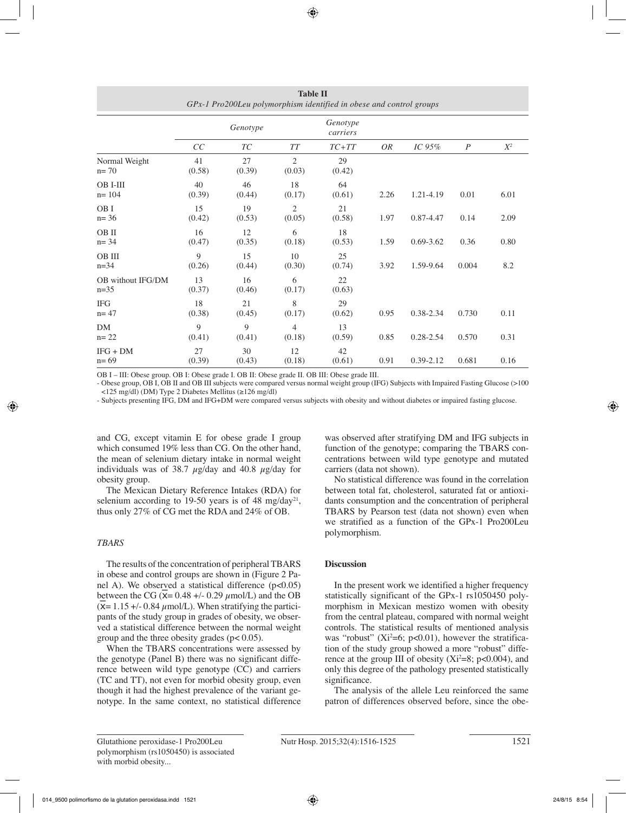|                             |              | Genotype     | Genotype<br>carriers     |              |      |               |                  |       |
|-----------------------------|--------------|--------------|--------------------------|--------------|------|---------------|------------------|-------|
|                             | CC           | ТC           | TТ                       | $TC+TT$      | OR   | IC $95\%$     | $\boldsymbol{P}$ | $X^2$ |
| Normal Weight<br>$n = 70$   | 41<br>(0.58) | 27<br>(0.39) | $\overline{2}$<br>(0.03) | 29<br>(0.42) |      |               |                  |       |
| OB I-III<br>$n = 104$       | 40<br>(0.39) | 46<br>(0.44) | 18<br>(0.17)             | 64<br>(0.61) | 2.26 | 1.21-4.19     | 0.01             | 6.01  |
| OB I<br>$n = 36$            | 15<br>(0.42) | 19<br>(0.53) | 2<br>(0.05)              | 21<br>(0.58) | 1.97 | 0.87-4.47     | 0.14             | 2.09  |
| OB II<br>$n = 34$           | 16<br>(0.47) | 12<br>(0.35) | 6<br>(0.18)              | 18<br>(0.53) | 1.59 | $0.69 - 3.62$ | 0.36             | 0.80  |
| OB III<br>$n = 34$          | 9<br>(0.26)  | 15<br>(0.44) | 10<br>(0.30)             | 25<br>(0.74) | 3.92 | 1.59-9.64     | 0.004            | 8.2   |
| OB without IFG/DM<br>$n=35$ | 13<br>(0.37) | 16<br>(0.46) | 6<br>(0.17)              | 22<br>(0.63) |      |               |                  |       |
| <b>IFG</b><br>$n = 47$      | 18<br>(0.38) | 21<br>(0.45) | 8<br>(0.17)              | 29<br>(0.62) | 0.95 | 0.38-2.34     | 0.730            | 0.11  |
| DM<br>$n = 22$              | 9<br>(0.41)  | 9<br>(0.41)  | $\overline{4}$<br>(0.18) | 13<br>(0.59) | 0.85 | $0.28 - 2.54$ | 0.570            | 0.31  |
| $IFG + DM$<br>$n = 69$      | 27<br>(0.39) | 30<br>(0.43) | 12<br>(0.18)             | 42<br>(0.61) | 0.91 | $0.39 - 2.12$ | 0.681            | 0.16  |

**Table II** *GPx-1 Pro200Leu polymorphism identified in obese and control groups*

OB I – III: Obese group. OB I: Obese grade I. OB II: Obese grade II. OB III: Obese grade III.

- Obese group, OB I, OB II and OB III subjects were compared versus normal weight group (IFG) Subjects with Impaired Fasting Glucose (>100 <125 mg/dl) (DM) Type 2 Diabetes Mellitus (≥126 mg/dl)

- Subjects presenting IFG, DM and IFG+DM were compared versus subjects with obesity and without diabetes or impaired fasting glucose.

and CG, except vitamin E for obese grade I group which consumed 19% less than CG. On the other hand, the mean of selenium dietary intake in normal weight individuals was of 38.7  $\mu$ g/day and 40.8  $\mu$ g/day for obesity group.

The Mexican Dietary Reference Intakes (RDA) for selenium according to 19-50 years is of 48 mg/day<sup>21</sup>, thus only 27% of CG met the RDA and 24% of OB.

## *TBARS*

The results of the concentration of peripheral TBARS in obese and control groups are shown in (Figure 2 Panel A). We observed a statistical difference  $(p<0.05)$ between the CG ( $\overline{X}$  = 0.48 +/- 0.29  $\mu$ mol/L) and the OB  $(\bar{x}= 1.15 + (-0.84 \mu m o)/L)$ . When stratifying the participants of the study group in grades of obesity, we observed a statistical difference between the normal weight group and the three obesity grades (p< 0.05).

When the TBARS concentrations were assessed by the genotype (Panel B) there was no significant difference between wild type genotype (CC) and carriers (TC and TT), not even for morbid obesity group, even though it had the highest prevalence of the variant genotype. In the same context, no statistical difference was observed after stratifying DM and IFG subjects in function of the genotype; comparing the TBARS concentrations between wild type genotype and mutated carriers (data not shown).

No statistical difference was found in the correlation between total fat, cholesterol, saturated fat or antioxidants consumption and the concentration of peripheral TBARS by Pearson test (data not shown) even when we stratified as a function of the GPx-1 Pro200Leu polymorphism.

## **Discussion**

In the present work we identified a higher frequency statistically significant of the GPx-1 rs1050450 polymorphism in Mexican mestizo women with obesity from the central plateau, compared with normal weight controls. The statistical results of mentioned analysis was "robust" ( $Xi^2=6$ ; p<0.01), however the stratification of the study group showed a more "robust" difference at the group III of obesity  $(Xi^2=8; p<0.004)$ , and only this degree of the pathology presented statistically significance.

The analysis of the allele Leu reinforced the same patron of differences observed before, since the obe-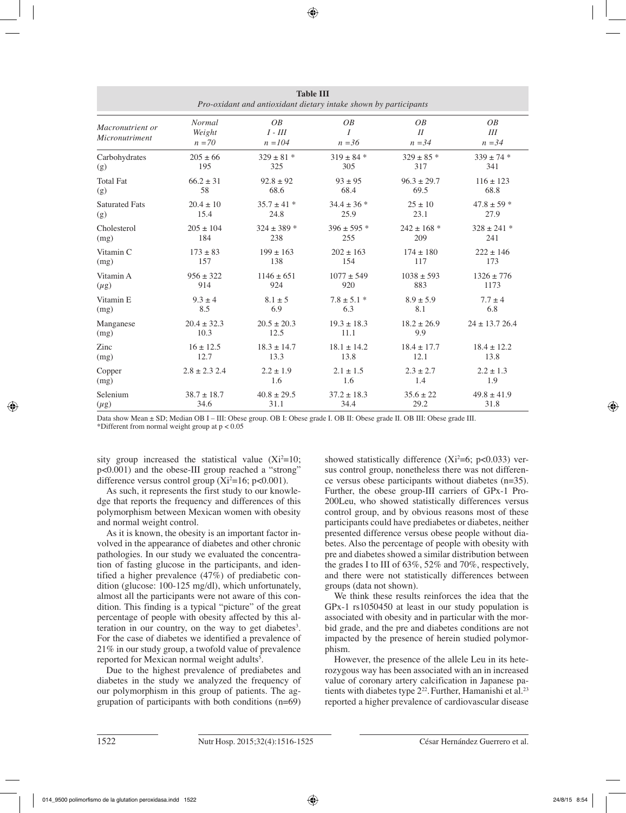| <b>Table III</b><br>Pro-oxidant and antioxidant dietary intake shown by participants |                                     |                                             |                     |                            |                            |  |
|--------------------------------------------------------------------------------------|-------------------------------------|---------------------------------------------|---------------------|----------------------------|----------------------------|--|
| Macronutrient or<br>Micronutriment                                                   | <b>Normal</b><br>Weight<br>$n = 70$ | $\overline{OB}$<br>$I$ - $III$<br>$n = 104$ | OB<br>I<br>$n = 36$ | <i>OB</i><br>I<br>$n = 34$ | <i>OB</i><br>Ш<br>$n = 34$ |  |
| Carbohydrates                                                                        | $205 \pm 66$                        | $329 \pm 81$ *                              | $319 \pm 84$ *      | $329 \pm 85$ *             | $339 \pm 74$ *             |  |
| (g)                                                                                  | 195                                 | 325                                         | 305                 | 317                        | 341                        |  |
| <b>Total Fat</b>                                                                     | $66.2 \pm 31$                       | $92.8 \pm 92$                               | $93 \pm 95$         | $96.3 \pm 29.7$            | $116 \pm 123$              |  |
| (g)                                                                                  | 58                                  | 68.6                                        | 68.4                | 69.5                       | 68.8                       |  |
| <b>Saturated Fats</b>                                                                | $20.4 \pm 10$                       | $35.7 \pm 41$ *                             | $34.4 \pm 36$ *     | $25 \pm 10$                | $47.8 \pm 59$ *            |  |
| (g)                                                                                  | 15.4                                | 24.8                                        | 25.9                | 23.1                       | 27.9                       |  |
| Cholesterol                                                                          | $205 \pm 104$                       | $324 \pm 389$ *                             | $396 \pm 595$ *     | $242 \pm 168$ *            | $328 \pm 241$ *            |  |
| (mg)                                                                                 | 184                                 | 238                                         | 255                 | 209                        | 241                        |  |
| Vitamin C                                                                            | $173 \pm 83$                        | $199 \pm 163$                               | $202 \pm 163$       | $174 \pm 180$              | $222 \pm 146$              |  |
| (mg)                                                                                 | 157                                 | 138                                         | 154                 | 117                        | 173                        |  |
| Vitamin A                                                                            | $956 \pm 322$                       | $1146 \pm 651$                              | $1077 \pm 549$      | $1038 \pm 593$             | $1326 \pm 776$             |  |
| $(\mu g)$                                                                            | 914                                 | 924                                         | 920                 | 883                        | 1173                       |  |
| Vitamin E                                                                            | $9.3 \pm 4$                         | $8.1 \pm 5$                                 | $7.8 \pm 5.1$ *     | $8.9 \pm 5.9$              | $7.7 \pm 4$                |  |
| (mg)                                                                                 | 8.5                                 | 6.9                                         | 6.3                 | 8.1                        | 6.8                        |  |
| Manganese                                                                            | $20.4 \pm 32.3$                     | $20.5 \pm 20.3$                             | $19.3 \pm 18.3$     | $18.2 \pm 26.9$            | $24 \pm 13.726.4$          |  |
| (mg)                                                                                 | 10.3                                | 12.5                                        | 11.1                | 9.9                        |                            |  |
| Zinc                                                                                 | $16 \pm 12.5$                       | $18.3 \pm 14.7$                             | $18.1 \pm 14.2$     | $18.4 \pm 17.7$            | $18.4 \pm 12.2$            |  |
| (mg)                                                                                 | 12.7                                | 13.3                                        | 13.8                | 12.1                       | 13.8                       |  |
| Copper                                                                               | $2.8 \pm 2.3$ 2.4                   | $2.2 \pm 1.9$                               | $2.1 \pm 1.5$       | $2.3 \pm 2.7$              | $2.2 \pm 1.3$              |  |
| (mg)                                                                                 |                                     | 1.6                                         | 1.6                 | 1.4                        | 1.9                        |  |
| Selenium                                                                             | $38.7 \pm 18.7$                     | $40.8 \pm 29.5$                             | $37.2 \pm 18.3$     | $35.6 \pm 22$              | $49.8 \pm 41.9$            |  |
| $(\mu g)$                                                                            | 34.6                                | 31.1                                        | 34.4                | 29.2                       | 31.8                       |  |

Data show Mean ± SD; Median OB I – III: Obese group. OB I: Obese grade I. OB II: Obese grade II. OB III: Obese grade III. \*Different from normal weight group at p < 0.05

sity group increased the statistical value  $(Xi^2=10;$ p<0.001) and the obese-III group reached a "strong" difference versus control group  $(Xi^2=16; p<0.001)$ .

As such, it represents the first study to our knowledge that reports the frequency and differences of this polymorphism between Mexican women with obesity and normal weight control.

As it is known, the obesity is an important factor involved in the appearance of diabetes and other chronic pathologies. In our study we evaluated the concentration of fasting glucose in the participants, and identified a higher prevalence (47%) of prediabetic condition (glucose: 100-125 mg/dl), which unfortunately, almost all the participants were not aware of this condition. This finding is a typical "picture" of the great percentage of people with obesity affected by this alteration in our country, on the way to get diabetes<sup>3</sup>. For the case of diabetes we identified a prevalence of 21% in our study group, a twofold value of prevalence reported for Mexican normal weight adults<sup>5</sup>.

Due to the highest prevalence of prediabetes and diabetes in the study we analyzed the frequency of our polymorphism in this group of patients. The aggrupation of participants with both conditions (n=69)

showed statistically difference  $(Xi^2=6; p<0.033)$  versus control group, nonetheless there was not difference versus obese participants without diabetes (n=35). Further, the obese group-III carriers of GPx-1 Pro-200Leu, who showed statistically differences versus control group, and by obvious reasons most of these participants could have prediabetes or diabetes, neither presented difference versus obese people without diabetes. Also the percentage of people with obesity with pre and diabetes showed a similar distribution between the grades I to III of 63%, 52% and 70%, respectively, and there were not statistically differences between groups (data not shown).

We think these results reinforces the idea that the GPx-1 rs1050450 at least in our study population is associated with obesity and in particular with the morbid grade, and the pre and diabetes conditions are not impacted by the presence of herein studied polymorphism.

However, the presence of the allele Leu in its heterozygous way has been associated with an in increased value of coronary artery calcification in Japanese patients with diabetes type 2<sup>22</sup>. Further, Hamanishi et al.<sup>23</sup> reported a higher prevalence of cardiovascular disease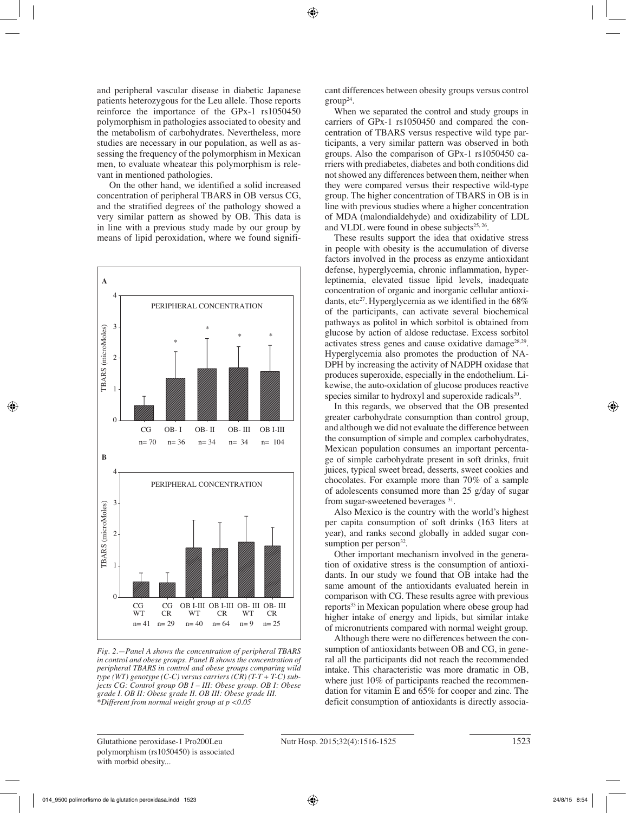and peripheral vascular disease in diabetic Japanese patients heterozygous for the Leu allele. Those reports reinforce the importance of the GPx-1 rs1050450 polymorphism in pathologies associated to obesity and the metabolism of carbohydrates. Nevertheless, more studies are necessary in our population, as well as assessing the frequency of the polymorphism in Mexican men, to evaluate wheatear this polymorphism is relevant in mentioned pathologies.

 On the other hand, we identified a solid increased concentration of peripheral TBARS in OB versus CG, and the stratified degrees of the pathology showed a very similar pattern as showed by OB. This data is in line with a previous study made by our group by means of lipid peroxidation, where we found signifi-



*Fig. 2.—Panel A shows the concentration of peripheral TBARS in control and obese groups. Panel B shows the concentration of peripheral TBARS in control and obese groups comparing wild type (WT) genotype (C-C) versus carriers (CR) (T-T + T-C) subjects CG: Control group OB I – III: Obese group. OB I: Obese grade I. OB II: Obese grade II. OB III: Obese grade III. \*Different from normal weight group at p <0.05*

cant differences between obesity groups versus control  $group^{24}$ .

When we separated the control and study groups in carriers of GPx-1 rs1050450 and compared the concentration of TBARS versus respective wild type participants, a very similar pattern was observed in both groups. Also the comparison of GPx-1 rs1050450 carriers with prediabetes, diabetes and both conditions did not showed any differences between them, neither when they were compared versus their respective wild-type group. The higher concentration of TBARS in OB is in line with previous studies where a higher concentration of MDA (malondialdehyde) and oxidizability of LDL and VLDL were found in obese subjects $25, 26$ .

These results support the idea that oxidative stress in people with obesity is the accumulation of diverse factors involved in the process as enzyme antioxidant defense, hyperglycemia, chronic inflammation, hyperleptinemia, elevated tissue lipid levels, inadequate concentration of organic and inorganic cellular antioxidants, etc<sup>27</sup>. Hyperglycemia as we identified in the  $68\%$ of the participants, can activate several biochemical pathways as politol in which sorbitol is obtained from glucose by action of aldose reductase. Excess sorbitol activates stress genes and cause oxidative damage<sup>28,29</sup>. Hyperglycemia also promotes the production of NA-DPH by increasing the activity of NADPH oxidase that produces superoxide, especially in the endothelium. Likewise, the auto-oxidation of glucose produces reactive species similar to hydroxyl and superoxide radicals<sup>30</sup>.

In this regards, we observed that the OB presented greater carbohydrate consumption than control group, and although we did not evaluate the difference between the consumption of simple and complex carbohydrates, Mexican population consumes an important percentage of simple carbohydrate present in soft drinks, fruit juices, typical sweet bread, desserts, sweet cookies and chocolates. For example more than 70% of a sample of adolescents consumed more than 25 g/day of sugar from sugar-sweetened beverages 31.

Also Mexico is the country with the world's highest per capita consumption of soft drinks (163 liters at year), and ranks second globally in added sugar consumption per person $32$ .

Other important mechanism involved in the generation of oxidative stress is the consumption of antioxidants. In our study we found that OB intake had the same amount of the antioxidants evaluated herein in comparison with CG. These results agree with previous reports<sup>33</sup> in Mexican population where obese group had higher intake of energy and lipids, but similar intake of micronutrients compared with normal weight group.

Although there were no differences between the consumption of antioxidants between OB and CG, in general all the participants did not reach the recommended intake. This characteristic was more dramatic in OB, where just 10% of participants reached the recommendation for vitamin E and 65% for cooper and zinc. The deficit consumption of antioxidants is directly associa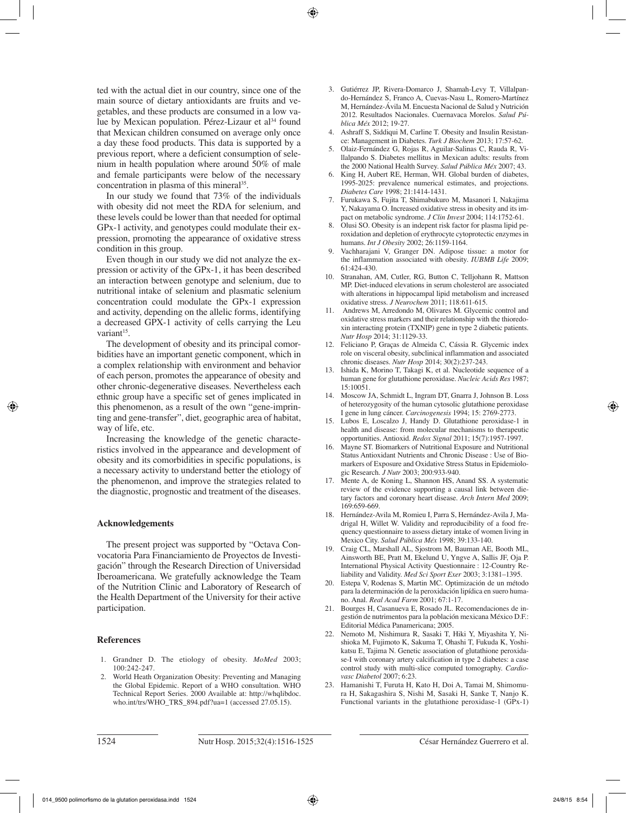ted with the actual diet in our country, since one of the main source of dietary antioxidants are fruits and vegetables, and these products are consumed in a low value by Mexican population. Pérez-Lizaur et al<sup>34</sup> found that Mexican children consumed on average only once a day these food products. This data is supported by a previous report, where a deficient consumption of selenium in health population where around 50% of male and female participants were below of the necessary concentration in plasma of this mineral<sup>35</sup>.

In our study we found that 73% of the individuals with obesity did not meet the RDA for selenium, and these levels could be lower than that needed for optimal GPx-1 activity, and genotypes could modulate their expression, promoting the appearance of oxidative stress condition in this group.

Even though in our study we did not analyze the expression or activity of the GPx-1, it has been described an interaction between genotype and selenium, due to nutritional intake of selenium and plasmatic selenium concentration could modulate the GPx-1 expression and activity, depending on the allelic forms, identifying a decreased GPX-1 activity of cells carrying the Leu variant<sup>15</sup>.

The development of obesity and its principal comorbidities have an important genetic component, which in a complex relationship with environment and behavior of each person, promotes the appearance of obesity and other chronic-degenerative diseases. Nevertheless each ethnic group have a specific set of genes implicated in this phenomenon, as a result of the own "gene-imprinting and gene-transfer", diet, geographic area of habitat, way of life, etc.

Increasing the knowledge of the genetic characteristics involved in the appearance and development of obesity and its comorbidities in specific populations, is a necessary activity to understand better the etiology of the phenomenon, and improve the strategies related to the diagnostic, prognostic and treatment of the diseases.

#### **Acknowledgements**

The present project was supported by "Octava Convocatoria Para Financiamiento de Proyectos de Investigación" through the Research Direction of Universidad Iberoamericana. We gratefully acknowledge the Team of the Nutrition Clinic and Laboratory of Research of the Health Department of the University for their active participation.

### **References**

- 1. Grandner D. The etiology of obesity. *MoMed* 2003; 100:242-247.
- 2. World Heath Organization Obesity: Preventing and Managing the Global Epidemic. Report of a WHO consultation. WHO Technical Report Series. 2000 Available at: http://whqlibdoc. who.int/trs/WHO\_TRS\_894.pdf?ua=1 (accessed 27.05.15).
- 3. Gutiérrez JP, Rivera-Domarco J, Shamah-Levy T, Villalpando-Hernández S, Franco A, Cuevas-Nasu L, Romero-Martínez M, Hernández-Ávila M. Encuesta Nacional de Salud y Nutrición 2012. Resultados Nacionales. Cuernavaca Morelos. *Salud Pública Méx* 2012; 19-27.
- 4. Ashraff S, Siddiqui M, Carline T. Obesity and Insulin Resistance: Management in Diabetes. *Turk J Biochem* 2013; 17:57-62.
- 5. Olaiz-Fernández G, Rojas R, Aguilar-Salinas C, Rauda R, Villalpando S. Diabetes mellitus in Mexican adults: results from the 2000 National Health Survey. *Salud Pública Méx* 2007; 43.
- 6. King H, Aubert RE, Herman, WH. Global burden of diabetes, 1995-2025: prevalence numerical estimates, and projections. *Diabetes Care* 1998; 21:1414-1431.
- 7. Furukawa S, Fujita T, Shimabukuro M, Masanori I, Nakajima Y, Nakayama O. Increased oxidative stress in obesity and its impact on metabolic syndrome. *J Clin Invest* 2004; 114:1752-61.
- Olusi SO. Obesity is an indepent risk factor for plasma lipid peroxidation and depletion of erythrocyte cytoprotectic enzymes in humans. *Int J Obesity* 2002; 26:1159-1164.
- 9. Vachharajani V, Granger DN. Adipose tissue: a motor for the inflammation associated with obesity. *IUBMB Life* 2009; 61:424-430.
- 10. Stranahan, AM, Cutler, RG, Button C, Telljohann R, Mattson MP. Diet-induced elevations in serum cholesterol are associated with alterations in hippocampal lipid metabolism and increased oxidative stress. *J Neurochem* 2011; 118:611-615.
- 11. Andrews M, Arredondo M, Olivares M. Glycemic control and oxidative stress markers and their relationship with the thioredoxin interacting protein (TXNIP) gene in type 2 diabetic patients. *Nutr Hosp* 2014; 31:1129-33.
- 12. Feliciano P, Graças de Almeida C, Cássia R. Glycemic index role on visceral obesity, subclinical inflammation and associated chronic diseases. *Nutr Hosp* 2014; 30(2):237-243.
- 13. Ishida K, Morino T, Takagi K, et al. Nucleotide sequence of a human gene for glutathione peroxidase. *Nucleic Acids Res* 1987; 15:10051.
- 14. Moscow JA, Schmidt L, Ingram DT, Gnarra J, Johnson B. Loss of heterozygosity of the human cytosolic glutathione peroxidase I gene in lung cáncer. *Carcinogenesis* 1994; 15: 2769-2773.
- 15. Lubos E, Loscalzo J, Handy D. Glutathione peroxidase-1 in health and disease: from molecular mechanisms to therapeutic opportunities. Antioxid. *Redox Signal* 2011; 15(7):1957-1997.
- 16. Mayne ST. Biomarkers of Nutritional Exposure and Nutritional Status Antioxidant Nutrients and Chronic Disease : Use of Biomarkers of Exposure and Oxidative Stress Status in Epidemiologic Research. *J Nutr* 2003; 200:933-940.
- 17. Mente A, de Koning L, Shannon HS, Anand SS. A systematic review of the evidence supporting a causal link between dietary factors and coronary heart disease. *Arch Intern Med* 2009; 169:659-669.
- 18. Hernández-Avila M, Romieu I, Parra S, Hernández-Avila J, Madrigal H, Willet W. Validity and reproducibility of a food frequency questionnaire to assess dietary intake of women living in Mexico City. *Salud Pública Méx* 1998; 39:133-140.
- 19. Craig CL, Marshall AL, Sjostrom M, Bauman AE, Booth ML, Ainsworth BE, Pratt M, Ekelund U, Yngve A, Sallis JF, Oja P. International Physical Activity Questionnaire : 12-Country Reliability and Validity. *Med Sci Sport Exer* 2003; 3:1381–1395.
- 20. Estepa V, Rodenas S, Martin MC. Optimización de un método para la determinación de la peroxidación lipídica en suero humano. Anal. *Real Acad Farm* 2001; 67:1-17.
- 21. Bourges H, Casanueva E, Rosado JL. Recomendaciones de ingestión de nutrimentos para la población mexicana México D.F.: Editorial Médica Panamericana; 2005.
- 22. Nemoto M, Nishimura R, Sasaki T, Hiki Y, Miyashita Y, Nishioka M, Fujimoto K, Sakuma T, Ohashi T, Fukuda K, Yoshikatsu E, Tajima N. Genetic association of glutathione peroxidase-I with coronary artery calcification in type 2 diabetes: a case control study with multi-slice computed tomography. *Cardiovasc Diabetol* 2007; 6:23.
- 23. Hamanishi T, Furuta H, Kato H, Doi A, Tamai M, Shimomura H, Sakagashira S, Nishi M, Sasaki H, Sanke T, Nanjo K. Functional variants in the glutathione peroxidase-1 (GPx-1)